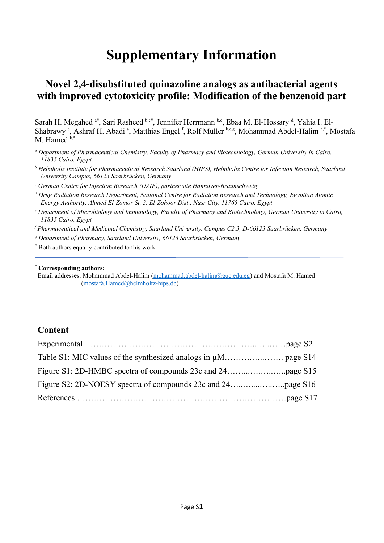# **Supplementary Information**

# **Novel 2,4-disubstituted quinazoline analogs as antibacterial agents with improved cytotoxicity profile: Modification of the benzenoid part**

Sarah H. Megahed <sup>a#</sup>, Sari Rasheed b,c#, Jennifer Herrmann b,c, Ebaa M. El-Hossary d, Yahia I. El-Shabrawy <sup>e</sup>, Ashraf H. Abadi <sup>a</sup>, Matthias Engel <sup>f</sup>, Rolf Müller b,c,g, Mohammad Abdel-Halim <sup>a,\*</sup>, Mostafa M. Hamed  $b$ ,\*

- *a Department of Pharmaceutical Chemistry, Faculty of Pharmacy and Biotechnology, German University in Cairo, 11835 Cairo, Egypt.*
- *b Helmholtz Institute for Pharmaceutical Research Saarland (HIPS), Helmholtz Centre for Infection Research, Saarland University Campus, 66123 Saarbrücken, Germany*
- *c German Centre for Infection Research (DZIF), partner site Hannover-Braunschweig*
- *d Drug Radiation Research Department, National Centre for Radiation Research and Technology, Egyptian Atomic Energy Authority, Ahmed El-Zomor St. 3, El-Zohoor Dist., Nasr City, 11765 Cairo, Egypt*
- *e Department of Microbiology and Immunology, Faculty of Pharmacy and Biotechnology, German University in Cairo, 11835 Cairo, Egypt*
- *f Pharmaceutical and Medicinal Chemistry, Saarland University, Campus C2.3, D-66123 Saarbrücken, Germany*
- *g Department of Pharmacy, Saarland University, 66123 Saarbrücken, Germany*
- # Both authors equally contributed to this work

#### **\* Corresponding authors:**

Email addresses: Mohammad Abdel-Halim ([mohammad.abdel-halim@guc.edu.eg\)](mailto:mohammad.abdel-halim@guc.edu.eg) and Mostafa M. Hamed [\(mostafa.Hamed@helmholtz-hips.de\)](mailto:mostafa.Hamed@helmholtz-hips.de)

## **Content**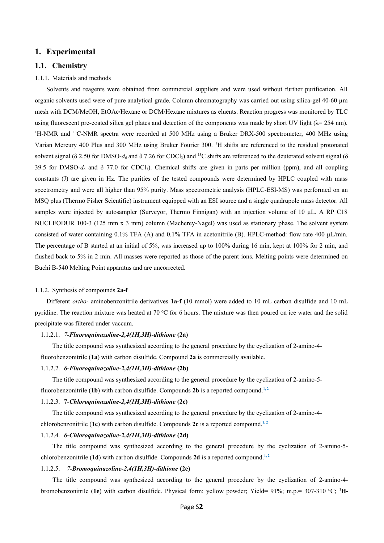#### **1. Experimental**

#### **1.1. Chemistry**

#### 1.1.1. Materials and methods

Solvents and reagents were obtained from commercial suppliers and were used without further purification. All organic solvents used were of pure analytical grade. Column chromatography was carried out using silica-gel 40-60 µm mesh with DCM/MeOH, EtOAc/Hexane or DCM/Hexane mixtures as eluents. Reaction progress was monitored by TLC using fluorescent pre-coated silica gel plates and detection of the components was made by short UV light ( $\lambda$ = 254 nm). <sup>1</sup>H-NMR and <sup>13</sup>C-NMR spectra were recorded at 500 MHz using a Bruker DRX-500 spectrometer, 400 MHz using Varian Mercury 400 Plus and 300 MHz using Bruker Fourier 300. <sup>1</sup>H shifts are referenced to the residual protonated solvent signal (δ 2.50 for DMSO- $d_6$  and δ 7.26 for CDCl<sub>3</sub>) and <sup>13</sup>C shifts are referenced to the deuterated solvent signal (δ 39.5 for DMSO- $d_6$  and  $\delta$  77.0 for CDCl<sub>3</sub>). Chemical shifts are given in parts per million (ppm), and all coupling constants (J) are given in Hz. The purities of the tested compounds were determined by HPLC coupled with mass spectrometry and were all higher than 95% purity. Mass spectrometric analysis (HPLC-ESI-MS) was performed on an MSQ plus (Thermo Fisher Scientific) instrument equipped with an ESI source and a single quadrupole mass detector. All samples were injected by autosampler (Surveyor, Thermo Finnigan) with an injection volume of 10 μL. A RP C18 NUCLEODUR 100-3 (125 mm x 3 mm) column (Macherey-Nagel) was used as stationary phase. The solvent system consisted of water containing 0.1% TFA (A) and 0.1% TFA in acetonitrile (B). HPLC-method: flow rate 400 μL/min. The percentage of B started at an initial of 5%, was increased up to 100% during 16 min, kept at 100% for 2 min, and flushed back to 5% in 2 min. All masses were reported as those of the parent ions. Melting points were determined on Buchi B-540 Melting Point apparatus and are uncorrected.

#### 1.1.2. Synthesis of compounds **2a-f**

Different *ortho*- aminobenzonitrile derivatives **1a-f** (10 mmol) were added to 10 mL carbon disulfide and 10 mL pyridine. The reaction mixture was heated at 70 °C for 6 hours. The mixture was then poured on ice water and the solid precipitate was filtered under vaccum.

#### 1.1.2.1. *7-Fluoroquinazoline-2,4(1H,3H)-dithione* **(2a)**

The title compound was synthesized according to the general procedure by the cyclization of 2-amino-4 fluorobenzonitrile (**1a**) with carbon disulfide. Compound **2a** is commercially available.

#### 1.1.2.2. *6-Fluoroquinazoline-2,4(1H,3H)-dithione* **(2b)**

The title compound was synthesized according to the general procedure by the cyclization of 2-amino-5 fluorobenzonitrile (1b) with carbon disulfide. Compounds  $2b$  is a reported compound.<sup>1,2</sup>

#### 1.1.2.3. **7-***Chloroquinazoline-2,4(1H,3H)-dithione* **(2c)**

The title compound was synthesized according to the general procedure by the cyclization of 2-amino-4 chlorobenzonitrile  $(1c)$  with carbon disulfide. Compounds  $2c$  is a reported compound.<sup>1,2</sup>

#### 1.1.2.4. *6-Chloroquinazoline-2,4(1H,3H)-dithione* **(2d)**

The title compound was synthesized according to the general procedure by the cyclization of 2-amino-5 chlorobenzonitrile (1d) with carbon disulfide. Compounds 2d is a reported compound.<sup>1,2</sup>

#### 1.1.2.5. *7-Bromoquinazoline-2,4(1H,3H)-dithione* **(2e)**

The title compound was synthesized according to the general procedure by the cyclization of 2-amino-4 bromobenzonitrile (1e) with carbon disulfide. Physical form: yellow powder; Yield= 91%; m.p.= 307-310 °C; <sup>1</sup>H-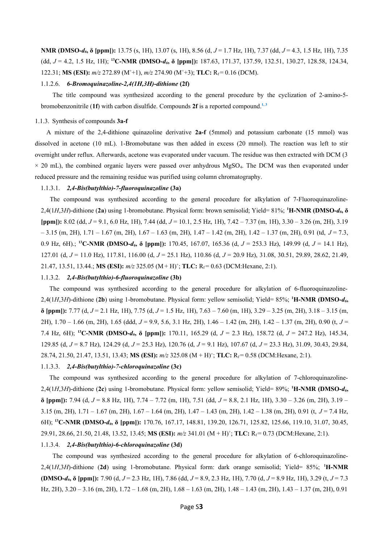**NMR (DMSO-***d6***, δ [ppm]):** 13.75 (s, 1H), 13.07 (s, 1H), 8.56 (d, *J* = 1.7 Hz, 1H), 7.37 (dd, *J* = 4.3, 1.5 Hz, 1H), 7.35 (dd, *J* = 4.2, 1.5 Hz, 1H); **<sup>13</sup>C-NMR (DMSO-***d6***, δ [ppm]):** 187.63, 171.37, 137.59, 132.51, 130.27, 128.58, 124.34, 122.31; **MS (ESI):**  $m/z$  272.89 (M<sup>+</sup>+1),  $m/z$  274.90 (M<sup>+</sup>+3); **TLC:**  $R_f = 0.16$  (DCM).

#### 1.1.2.6. *6-Bromoquinazoline-2,4(1H,3H)-dithione* **(2f)**

The title compound was synthesized according to the general procedure by the cyclization of 2-amino-5 bromobenzonitrile (**1f**) with carbon disulfide. Compounds **2f** is a reported compound. **1, 3**

#### 1.1.3. Synthesis of compounds **3a-f**

A mixture of the 2,4-dithione quinazoline derivative **2a-f** (5mmol) and potassium carbonate (15 mmol) was dissolved in acetone (10 mL). 1-Bromobutane was then added in excess (20 mmol). The reaction was left to stir overnight under reflux. Afterwards, acetone was evaporated under vacuum. The residue was then extracted with DCM (3  $\times$  20 mL), the combined organic layers were passed over anhydrous MgSO<sub>4</sub>. The DCM was then evaporated under reduced pressure and the remaining residue was purified using column chromatography.

#### 1.1.3.1. *2,4-Bis(butylthio)-7-fluoroquinazoline* **(3a)**

The compound was synthesized according to the general procedure for alkylation of 7-Fluoroquinazoline-2,4(1*H*,3*H*)-dithione (**2a**) using 1-bromobutane. Physical form: brown semisolid; Yield= 81%; **<sup>1</sup>H-NMR (DMSO-***d6***, δ [ppm]):** 8.02 (dd, *J* = 9.1, 6.0 Hz, 1H), 7.44 (dd, *J* = 10.1, 2.5 Hz, 1H), 7.42 – 7.37 (m, 1H), 3.30 – 3.26 (m, 2H), 3.19 – 3.15 (m, 2H), 1.71 – 1.67 (m, 2H), 1.67 – 1.63 (m, 2H), 1.47 – 1.42 (m, 2H), 1.42 – 1.37 (m, 2H), 0.91 (td, *J* = 7.3, 0.9 Hz, 6H).; **<sup>13</sup>C-NMR (DMSO-***d6***, δ [ppm]):** 170.45, 167.07, 165.36 (d, *J* = 253.3 Hz), 149.99 (d, *J* = 14.1 Hz), 127.01 (d, *J* = 11.0 Hz), 117.81, 116.00 (d, *J* = 25.1 Hz), 110.86 (d, *J* = 20.9 Hz), 31.08, 30.51, 29.89, 28.62, 21.49, 21.47, 13.51, 13.44.; **MS (ESI):**  $m/z$  325.05 (M + H)<sup>+</sup>; **TLC:**  $R_f = 0.63$  (DCM: Hexane, 2:1).

#### 1.1.3.2. *2,4-Bis(butylthio)-6-fluoroquinazoline* **(3b)**

The compound was synthesized according to the general procedure for alkylation of 6-fluoroquinazoline-2,4(1*H*,3*H*)-dithione (**2b**) using 1-bromobutane. Physical form: yellow semisolid; Yield= 85%; **<sup>1</sup>H-NMR (DMSO-***d6***, δ [ppm]):** 7.77 (d, *J* = 2.1 Hz, 1H), 7.75 (d, *J* = 1.5 Hz, 1H), 7.63 – 7.60 (m, 1H), 3.29 – 3.25 (m, 2H), 3.18 – 3.15 (m, 2H), 1.70 – 1.66 (m, 2H), 1.65 (ddd, *J* = 9.9, 5.6, 3.1 Hz, 2H), 1.46 – 1.42 (m, 2H), 1.42 – 1.37 (m, 2H), 0.90 (t, *J* = 7.4 Hz, 6H); **<sup>13</sup>C-NMR (DMSO-***d6***, δ [ppm]):** 170.11, 165.29 (d, *J* = 2.3 Hz), 158.72 (d, *J* = 247.2 Hz), 145.34, 129.85 (d, *J* = 8.7 Hz), 124.29 (d, *J* = 25.3 Hz), 120.76 (d, *J* = 9.1 Hz), 107.67 (d, *J* = 23.3 Hz), 31.09, 30.43, 29.84, 28.74, 21.50, 21.47, 13.51, 13.43; **MS (ESI):**  $m/z$  325.08 (M + H)<sup>+</sup>; **TLC:**  $R_f = 0.58$  (DCM:Hexane, 2:1).

#### 1.1.3.3. *2,4-Bis(butylthio)-7-chloroquinazoline* **(3c)**

The compound was synthesized according to the general procedure for alkylation of 7-chloroquinazoline-2,4(1*H*,3*H*)-dithione (**2c**) using 1-bromobutane. Physical form: yellow semisolid; Yield= 89%; **<sup>1</sup>H-NMR (DMSO-***d6***, δ [ppm]):** 7.94 (d, *J* = 8.8 Hz, 1H), 7.74 – 7.72 (m, 1H), 7.51 (dd, *J* = 8.8, 2.1 Hz, 1H), 3.30 – 3.26 (m, 2H), 3.19 – 3.15 (m, 2H),  $1.71 - 1.67$  (m, 2H),  $1.67 - 1.64$  (m, 2H),  $1.47 - 1.43$  (m, 2H),  $1.42 - 1.38$  (m, 2H), 0.91 (t,  $J = 7.4$  Hz, 6H); **<sup>13</sup>C-NMR (DMSO-***d6***, δ [ppm]):** 170.76, 167.17, 148.81, 139.20, 126.71, 125.82, 125.66, 119.10, 31.07, 30.45, 29.91, 28.66, 21.50, 21.48, 13.52, 13.45; **MS (ESI):**  $m/z$  341.01 (M + H)<sup>+</sup>; TLC: R<sub>f</sub> = 0.73 (DCM:Hexane, 2:1).

#### 1.1.3.4. *2,4-Bis(butylthio)-6-chloroquinazoline* **(3d)**

The compound was synthesized according to the general procedure for alkylation of 6-chloroquinazoline-2,4(1*H*,3*H*)-dithione (**2d**) using 1-bromobutane. Physical form: dark orange semisolid; Yield= 85%; **<sup>1</sup>H-NMR (DMSO-***d6***, δ [ppm]):** 7.90 (d, *J* = 2.3 Hz, 1H), 7.86 (dd, *J* = 8.9, 2.3 Hz, 1H), 7.70 (d, *J* = 8.9 Hz, 1H), 3.29 (t, *J* = 7.3 Hz, 2H), 3.20 – 3.16 (m, 2H), 1.72 – 1.68 (m, 2H), 1.68 – 1.63 (m, 2H), 1.48 – 1.43 (m, 2H), 1.43 – 1.37 (m, 2H), 0.91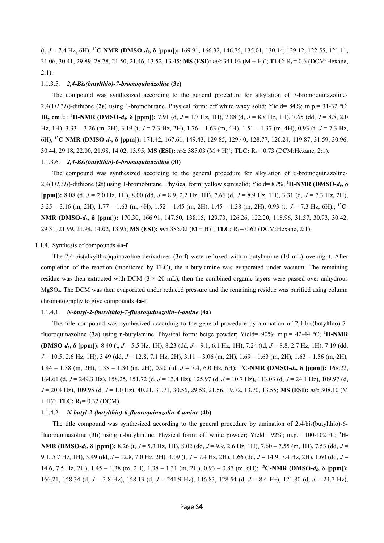(t, *J* = 7.4 Hz, 6H); **<sup>13</sup>C-NMR (DMSO-***d6***, δ [ppm]):** 169.91, 166.32, 146.75, 135.01, 130.14, 129.12, 122.55, 121.11, 31.06, 30.41, 29.89, 28.78, 21.50, 21.46, 13.52, 13.45; **MS (ESI):**  $m/z$  341.03 (M + H)<sup>+</sup>; **TLC:** R<sub>f</sub> = 0.6 (DCM:Hexane,  $2:1$ ).

#### 1.1.3.5. *2,4-Bis(butylthio)-7-bromoquinazoline* **(3e)**

The compound was synthesized according to the general procedure for alkylation of 7-bromoquinazoline-2,4(1*H*,3*H*)-dithione (2e) using 1-bromobutane. Physical form: off white waxy solid; Yield= 84%; m.p.= 31-32 °C; **IR, cm-1:** ; **<sup>1</sup>H-NMR (DMSO-***d6***, δ [ppm]):** 7.91 (d, *J* = 1.7 Hz, 1H), 7.88 (d, *J* = 8.8 Hz, 1H), 7.65 (dd, *J* = 8.8, 2.0 Hz, 1H), 3.33 – 3.26 (m, 2H), 3.19 (t, *J* = 7.3 Hz, 2H), 1.76 – 1.63 (m, 4H), 1.51 – 1.37 (m, 4H), 0.93 (t, *J* = 7.3 Hz, 6H); **<sup>13</sup>C-NMR (DMSO-***d6***, δ [ppm]):** 171.42, 167.61, 149.43, 129.85, 129.40, 128.77, 126.24, 119.87, 31.59, 30.96, 30.44, 29.18, 22.00, 21.98, 14.02, 13.95; **MS (ESI):**  $m/z$  385.03 (M + H)<sup>+</sup>; TLC: R<sub>f</sub> = 0.73 (DCM:Hexane, 2:1).

#### 1.1.3.6. *2,4-Bis(butylthio)-6-bromoquinazoline* **(3f)**

The compound was synthesized according to the general procedure for alkylation of 6-bromoquinazoline-2,4(1*H*,3*H*)-dithione (**2f**) using 1-bromobutane. Physical form: yellow semisolid; Yield= 87%; **<sup>1</sup>H-NMR (DMSO-***d6***, δ [ppm]):** 8.08 (d, *J* = 2.0 Hz, 1H), 8.00 (dd, *J* = 8.9, 2.2 Hz, 1H), 7.66 (d, *J* = 8.9 Hz, 1H), 3.31 (d, *J* = 7.3 Hz, 2H), 3.25 – 3.16 (m, 2H), 1.77 – 1.63 (m, 4H), 1.52 – 1.45 (m, 2H), 1.45 – 1.38 (m, 2H), 0.93 (t, *J* = 7.3 Hz, 6H).; **13C-NMR (DMSO-***d6***, δ [ppm]):** 170.30, 166.91, 147.50, 138.15, 129.73, 126.26, 122.20, 118.96, 31.57, 30.93, 30.42, 29.31, 21.99, 21.94, 14.02, 13.95; **MS (ESI):**  $m/z$  385.02 (M + H)<sup>+</sup>; **TLC:**  $R_f = 0.62$  (DCM:Hexane, 2:1).

#### 1.1.4. Synthesis of compounds **4a-f**

The 2,4-bis(alkylthio)quinazoline derivatives (**3a-f**) were refluxed with n-butylamine (10 mL) overnight. After completion of the reaction (monitored by TLC), the n-butylamine was evaporated under vacuum. The remaining residue was then extracted with DCM ( $3 \times 20$  mL), then the combined organic layers were passed over anhydrous MgSO4. The DCM was then evaporated under reduced pressure and the remaining residue was purified using column chromatography to give compounds **4a-f**.

#### 1.1.4.1. *N-butyl-2-(butylthio)-7-fluoroquinazolin-4-amine* **(4a)**

The title compound was synthesized according to the general procedure by amination of 2,4-bis(butylthio)-7 fluoroquinazoline (**3a**) using n-butylamine. Physical form: beige powder; Yield= 90%; m.p.= 42-44 ⁰C; **<sup>1</sup>H-NMR (DMSO-***d6***, δ [ppm]):** 8.40 (t, *J* = 5.5 Hz, 1H), 8.23 (dd, *J* = 9.1, 6.1 Hz, 1H), 7.24 (td, *J* = 8.8, 2.7 Hz, 1H), 7.19 (dd, *J* = 10.5, 2.6 Hz, 1H), 3.49 (dd, *J* = 12.8, 7.1 Hz, 2H), 3.11 – 3.06 (m, 2H), 1.69 – 1.63 (m, 2H), 1.63 – 1.56 (m, 2H), 1.44 – 1.38 (m, 2H), 1.38 – 1.30 (m, 2H), 0.90 (td, *J* = 7.4, 6.0 Hz, 6H); **<sup>13</sup>C-NMR (DMSO-***d6***, δ [ppm]):** 168.22, 164.61 (d, *J* = 249.3 Hz), 158.25, 151.72 (d, *J* = 13.4 Hz), 125.97 (d, *J* = 10.7 Hz), 113.03 (d, *J* = 24.1 Hz), 109.97 (d, *J* = 20.4 Hz), 109.95 (d, *J* = 1.0 Hz), 40.21, 31.71, 30.56, 29.58, 21.56, 19.72, 13.70, 13.55; **MS (ESI):** *m/z* 308.10 (M  $+ H$ <sup>+</sup>; **TLC:**  $R_f = 0.32$  (DCM).

#### 1.1.4.2. *N-butyl-2-(butylthio)-6-fluoroquinazolin-4-amine* **(4b)**

The title compound was synthesized according to the general procedure by amination of 2,4-bis(butylthio)-6 fluoroquinazoline (3b) using n-butylamine. Physical form: off white powder; Yield= 92%; m.p.= 100-102 °C; <sup>1</sup>H-**NMR (DMSO-***d6***, δ [ppm]):** 8.26 (t, *J* = 5.3 Hz, 1H), 8.02 (dd, *J* = 9.9, 2.6 Hz, 1H), 7.60 – 7.55 (m, 1H), 7.53 (dd, *J* = 9.1, 5.7 Hz, 1H), 3.49 (dd, *J* = 12.8, 7.0 Hz, 2H), 3.09 (t, *J* = 7.4 Hz, 2H), 1.66 (dd, *J* = 14.9, 7.4 Hz, 2H), 1.60 (dd, *J* = 14.6, 7.5 Hz, 2H), 1.45 – 1.38 (m, 2H), 1.38 – 1.31 (m, 2H), 0.93 – 0.87 (m, 6H); **<sup>13</sup>C-NMR (DMSO-***d6***, δ [ppm]):** 166.21, 158.34 (d, *J* = 3.8 Hz), 158.13 (d, *J* = 241.9 Hz), 146.83, 128.54 (d, *J* = 8.4 Hz), 121.80 (d, *J* = 24.7 Hz),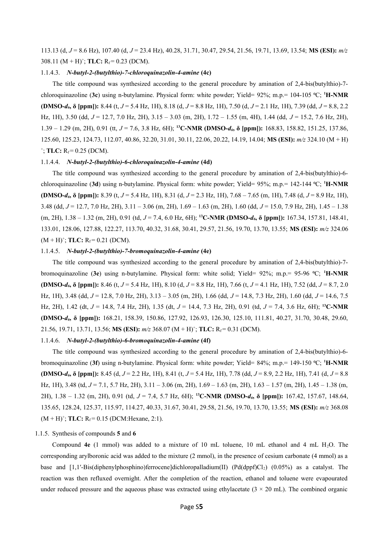113.13 (d, *J* = 8.6 Hz), 107.40 (d, *J* = 23.4 Hz), 40.28, 31.71, 30.47, 29.54, 21.56, 19.71, 13.69, 13.54; **MS (ESI):** *m/z* 308.11 ( $M + H$ )<sup>+</sup>; **TLC:**  $R_f = 0.23$  (DCM).

#### 1.1.4.3. *N-butyl-2-(butylthio)-7-chloroquinazolin-4-amine* **(4c)**

The title compound was synthesized according to the general procedure by amination of 2,4-bis(butylthio)-7 chloroquinazoline (**3c**) using n-butylamine. Physical form: white powder; Yield= 92%; m.p.= 104-105 ⁰C; **<sup>1</sup>H-NMR (DMSO-***d6***, δ [ppm]):** 8.44 (t, *J* = 5.4 Hz, 1H), 8.18 (d, *J* = 8.8 Hz, 1H), 7.50 (d, *J* = 2.1 Hz, 1H), 7.39 (dd, *J* = 8.8, 2.2 Hz, 1H), 3.50 (dd, *J* = 12.7, 7.0 Hz, 2H), 3.15 – 3.03 (m, 2H), 1.72 – 1.55 (m, 4H), 1.44 (dd, *J* = 15.2, 7.6 Hz, 2H), 1.39 – 1.29 (m, 2H), 0.91 (tt, *J* = 7.6, 3.8 Hz, 6H); **<sup>13</sup>C-NMR (DMSO-***d6***, δ [ppm]):** 168.83, 158.82, 151.25, 137.86, 125.60, 125.23, 124.73, 112.07, 40.86, 32.20, 31.01, 30.11, 22.06, 20.22, 14.19, 14.04; **MS (ESI):** *m/z* 324.10 (M + H)  $^{\dagger}$ ; **TLC:** R<sub>f</sub> = 0.25 (DCM).

#### 1.1.4.4. *N-butyl-2-(butylthio)-6-chloroquinazolin-4-amine* **(4d)**

The title compound was synthesized according to the general procedure by amination of 2,4-bis(butylthio)-6 chloroquinazoline (**3d**) using n-butylamine. Physical form: white powder; Yield= 95%; m.p.= 142-144 ⁰C; **<sup>1</sup>H-NMR (DMSO-***d6***, δ [ppm]):** 8.39 (t, *J* = 5.4 Hz, 1H), 8.31 (d, *J* = 2.3 Hz, 1H), 7.68 – 7.65 (m, 1H), 7.48 (d, *J* = 8.9 Hz, 1H), 3.48 (dd, *J* = 12.7, 7.0 Hz, 2H), 3.11 – 3.06 (m, 2H), 1.69 – 1.63 (m, 2H), 1.60 (dd, *J* = 15.0, 7.9 Hz, 2H), 1.45 – 1.38 (m, 2H), 1.38 – 1.32 (m, 2H), 0.91 (td, *J* = 7.4, 6.0 Hz, 6H); **<sup>13</sup>C-NMR (DMSO-***d6***, δ [ppm]):** 167.34, 157.81, 148.41, 133.01, 128.06, 127.88, 122.27, 113.70, 40.32, 31.68, 30.41, 29.57, 21.56, 19.70, 13.70, 13.55; **MS (ESI):** *m/z* 324.06  $(M + H)^+$ ; TLC:  $R_f = 0.21$  (DCM).

#### 1.1.4.5. *N-butyl-2-(butylthio)-7-bromoquinazolin-4-amine* **(4e)**

The title compound was synthesized according to the general procedure by amination of 2,4-bis(butylthio)-7 bromoquinazoline (**3e**) using n-butylamine. Physical form: white solid; Yield= 92%; m.p.= 95-96 ⁰C; **<sup>1</sup>H-NMR (DMSO-***d6***, δ [ppm]):** 8.46 (t, *J* = 5.4 Hz, 1H), 8.10 (d, *J* = 8.8 Hz, 1H), 7.66 (t, *J* = 4.1 Hz, 1H), 7.52 (dd, *J* = 8.7, 2.0 Hz, 1H), 3.48 (dd, *J* = 12.8, 7.0 Hz, 2H), 3.13 – 3.05 (m, 2H), 1.66 (dd, *J* = 14.8, 7.3 Hz, 2H), 1.60 (dd, *J* = 14.6, 7.5 Hz, 2H), 1.42 (dt, *J* = 14.8, 7.4 Hz, 2H), 1.35 (dt, *J* = 14.4, 7.3 Hz, 2H), 0.91 (td, *J* = 7.4, 3.6 Hz, 6H); **<sup>13</sup>C-NMR (DMSO-***d6***, δ [ppm]):** 168.21, 158.39, 150.86, 127.92, 126.93, 126.30, 125.10, 111.81, 40.27, 31.70, 30.48, 29.60, 21.56, 19.71, 13.71, 13.56; **MS (ESI):**  $m/z$  368.07 (M + H)<sup>+</sup>; **TLC:** R<sub>f</sub> = 0.31 (DCM).

#### 1.1.4.6. *N-butyl-2-(butylthio)-6-bromoquinazolin-4-amine* **(4f)**

The title compound was synthesized according to the general procedure by amination of 2,4-bis(butylthio)-6 bromoquinazoline (**3f**) using n-butylamine. Physical form: white powder; Yield= 84%; m.p.= 149-150 ⁰C; **<sup>1</sup>H-NMR (DMSO-***d6***, δ [ppm]):** 8.45 (d, *J* = 2.2 Hz, 1H), 8.41 (t, *J* = 5.4 Hz, 1H), 7.78 (dd, *J* = 8.9, 2.2 Hz, 1H), 7.41 (d, *J* = 8.8 Hz, 1H), 3.48 (td, *J* = 7.1, 5.7 Hz, 2H), 3.11 – 3.06 (m, 2H), 1.69 – 1.63 (m, 2H), 1.63 – 1.57 (m, 2H), 1.45 – 1.38 (m, 2H), 1.38 – 1.32 (m, 2H), 0.91 (td, *J* = 7.4, 5.7 Hz, 6H); **<sup>13</sup>C-NMR (DMSO-***d6***, δ [ppm]):** 167.42, 157.67, 148.64, 135.65, 128.24, 125.37, 115.97, 114.27, 40.33, 31.67, 30.41, 29.58, 21.56, 19.70, 13.70, 13.55; **MS (ESI):** *m/z* 368.08  $(M + H)^{+}$ ; TLC:  $R_f = 0.15$  (DCM: Hexane, 2:1).

#### 1.1.5. Synthesis of compounds **5** and **6**

Compound **4e** (1 mmol) was added to a mixture of 10 mL toluene, 10 mL ethanol and 4 mL H2O. The corresponding arylboronic acid was added to the mixture (2 mmol), in the presence of cesium carbonate (4 mmol) as a base and  $[1,1'-Bis(diphenylphosphino)$  ferrocene dichloropalladium(II)  $(Pd(dppf)Cl<sub>2</sub>$  (0.05%) as a catalyst. The reaction was then refluxed overnight. After the completion of the reaction, ethanol and toluene were evapourated under reduced pressure and the aqueous phase was extracted using ethylacetate  $(3 \times 20 \text{ mL})$ . The combined organic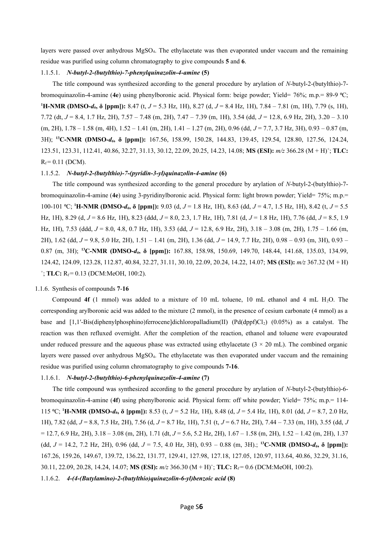layers were passed over anhydrous MgSO4. The ethylacetate was then evaporated under vaccum and the remaining residue was purified using column chromatography to give compounds **5** and **6**.

#### 1.1.5.1. *N-butyl-2-(butylthio)-7-phenylquinazolin-4-amine* **(5)**

The title compound was synthesized according to the general procedure by arylation of *N*-butyl-2-(butylthio)-7 bromoquinazolin-4-amine (**4e**) using phenylboronic acid. Physical form: beige powder; Yield= 76%; m.p.= 89-9 ⁰C; **<sup>1</sup>H-NMR (DMSO-***d6***, δ [ppm]):** 8.47 (t, *J* = 5.3 Hz, 1H), 8.27 (d, *J* = 8.4 Hz, 1H), 7.84 – 7.81 (m, 1H), 7.79 (s, 1H), 7.72 (dt, *J* = 8.4, 1.7 Hz, 2H), 7.57 – 7.48 (m, 2H), 7.47 – 7.39 (m, 1H), 3.54 (dd, *J* = 12.8, 6.9 Hz, 2H), 3.20 – 3.10 (m, 2H), 1.78 – 1.58 (m, 4H), 1.52 – 1.41 (m, 2H), 1.41 – 1.27 (m, 2H), 0.96 (dd, *J* = 7.7, 3.7 Hz, 3H), 0.93 – 0.87 (m, 3H); **<sup>13</sup>C-NMR (DMSO-***d6***, δ [ppm]):** 167.56, 158.99, 150.28, 144.83, 139.45, 129.54, 128.80, 127.56, 124.24, 123.51, 123.31, 112.41, 40.86, 32.27, 31.13, 30.12, 22.09, 20.25, 14.23, 14.08; **MS (ESI):** *m/z* 366.28 (M + H)<sup>+</sup> ; **TLC:**  $R_f = 0.11$  (DCM).

#### 1.1.5.2. *N-butyl-2-(butylthio)-7-(pyridin-3-yl)quinazolin-4-amine* **(6)**

The title compound was synthesized according to the general procedure by arylation of *N*-butyl-2-(butylthio)-7 bromoquinazolin-4-amine (**4e**) using 3-pyridinylboronic acid. Physical form: light brown powder; Yield= 75%; m.p.= 100-101 ⁰C; **<sup>1</sup>H-NMR (DMSO-***d6***, δ [ppm]):** 9.03 (d, *J* = 1.8 Hz, 1H), 8.63 (dd, *J* = 4.7, 1.5 Hz, 1H), 8.42 (t, *J* = 5.5 Hz, 1H), 8.29 (d, *J* = 8.6 Hz, 1H), 8.23 (ddd, *J* = 8.0, 2.3, 1.7 Hz, 1H), 7.81 (d, *J* = 1.8 Hz, 1H), 7.76 (dd, *J* = 8.5, 1.9 Hz, 1H), 7.53 (ddd, *J* = 8.0, 4.8, 0.7 Hz, 1H), 3.53 (dd, *J* = 12.8, 6.9 Hz, 2H), 3.18 – 3.08 (m, 2H), 1.75 – 1.66 (m, 2H), 1.62 (dd, *J* = 9.8, 5.0 Hz, 2H), 1.51 – 1.41 (m, 2H), 1.36 (dd, *J* = 14.9, 7.7 Hz, 2H), 0.98 – 0.93 (m, 3H), 0.93 – 0.87 (m, 3H); **<sup>13</sup>C-NMR (DMSO-***d6***, δ [ppm]):** 167.88, 158.98, 150.69, 149.70, 148.44, 141.68, 135.03, 134.99, 124.42, 124.09, 123.28, 112.87, 40.84, 32.27, 31.11, 30.10, 22.09, 20.24, 14.22, 14.07; **MS (ESI):** *m/z* 367.32 (M + H)  $^+$ ; **TLC:**  $R_f = 0.13$  (DCM:MeOH, 100:2).

#### 1.1.6. Synthesis of compounds **7**-**16**

Compound  $4f$  (1 mmol) was added to a mixture of 10 mL toluene, 10 mL ethanol and 4 mL  $H_2O$ . The corresponding arylboronic acid was added to the mixture (2 mmol), in the presence of cesium carbonate (4 mmol) as a base and  $[1,1'-Bis(diphenvlphosphino)$ ferroceneldichloropalladium(II) (Pd(dppf)Cl<sub>2</sub>) (0.05%) as a catalyst. The reaction was then refluxed overnight. After the completion of the reaction, ethanol and toluene were evapourated under reduced pressure and the aqueous phase was extracted using ethylacetate  $(3 \times 20 \text{ mL})$ . The combined organic layers were passed over anhydrous MgSO<sub>4</sub>. The ethylacetate was then evaporated under vaccum and the remaining residue was purified using column chromatography to give compounds **7-16**.

#### 1.1.6.1. *N-butyl-2-(butylthio)-6-phenylquinazolin-4-amine* **(7)**

The title compound was synthesized according to the general procedure by arylation of *N*-butyl-2-(butylthio)-6 bromoquinazolin-4-amine (**4f**) using phenylboronic acid. Physical form: off white powder; Yield= 75%; m.p.= 114- 115 ⁰C; **<sup>1</sup>H-NMR (DMSO-***d6***, δ [ppm]):** 8.53 (t, *J* = 5.2 Hz, 1H), 8.48 (d, *J* = 5.4 Hz, 1H), 8.01 (dd, *J* = 8.7, 2.0 Hz, 1H), 7.82 (dd, *J* = 8.8, 7.5 Hz, 2H), 7.56 (d, *J* = 8.7 Hz, 1H), 7.51 (t, *J* = 6.7 Hz, 2H), 7.44 – 7.33 (m, 1H), 3.55 (dd, *J* = 12.7, 6.9 Hz, 2H), 3.18 – 3.08 (m, 2H), 1.71 (dt, *J* = 5.6, 5.2 Hz, 2H), 1.67 – 1.58 (m, 2H), 1.52 – 1.42 (m, 2H), 1.37 (dd, *J* = 14.2, 7.2 Hz, 2H), 0.96 (dd, *J* = 7.5, 4.0 Hz, 3H), 0.93 – 0.88 (m, 3H).; **<sup>13</sup>C-NMR (DMSO-***d6***, δ [ppm]):** 167.26, 159.26, 149.67, 139.72, 136.22, 131.77, 129.41, 127.98, 127.18, 127.05, 120.97, 113.64, 40.86, 32.29, 31.16, 30.11, 22.09, 20.28, 14.24, 14.07; **MS (ESI):** *m/z* 366.30 (M + H)<sup>+</sup> ; **TLC:** Rf = 0.6 (DCM:MeOH, 100:2).

1.1.6.2. *4-(4-(Butylamino)-2-(butylthio)quinazolin-6-yl)benzoic acid* **(8)**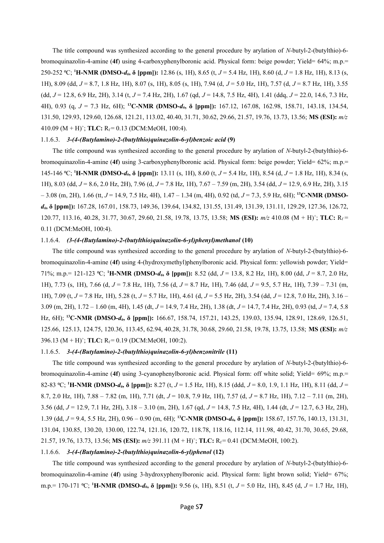The title compound was synthesized according to the general procedure by arylation of *N*-butyl-2-(butylthio)-6 bromoquinazolin-4-amine (**4f**) using 4-carboxyphenylboronic acid. Physical form: beige powder; Yield= 64%; m.p.= 250-252 ⁰C; **<sup>1</sup>H-NMR (DMSO-***d6***, δ [ppm]):** 12.86 (s, 1H), 8.65 (t, *J* = 5.4 Hz, 1H), 8.60 (d, *J* = 1.8 Hz, 1H), 8.13 (s, 1H), 8.09 (dd, *J* = 8.7, 1.8 Hz, 1H), 8.07 (s, 1H), 8.05 (s, 1H), 7.94 (d, *J* = 5.0 Hz, 1H), 7.57 (d, *J* = 8.7 Hz, 1H), 3.55 (dd, *J* = 12.8, 6.9 Hz, 2H), 3.14 (t, *J* = 7.4 Hz, 2H), 1.67 (qd, *J* = 14.8, 7.5 Hz, 4H), 1.41 (ddq, *J* = 22.0, 14.6, 7.3 Hz, 4H), 0.93 (q, *J* = 7.3 Hz, 6H); **<sup>13</sup>C-NMR (DMSO-***d6***, δ [ppm]):** 167.12, 167.08, 162.98, 158.71, 143.18, 134.54, 131.50, 129.93, 129.60, 126.68, 121.21, 113.02, 40.40, 31.71, 30.62, 29.66, 21.57, 19.76, 13.73, 13.56; **MS (ESI):** *m/z* 410.09 (M + H)<sup>+</sup>; **TLC:**  $R_f = 0.13$  (DCM:MeOH, 100:4).

#### 1.1.6.3. *3-(4-(Butylamino)-2-(butylthio)quinazolin-6-yl)benzoic acid* **(9)**

The title compound was synthesized according to the general procedure by arylation of *N*-butyl-2-(butylthio)-6 bromoquinazolin-4-amine (**4f**) using 3-carboxyphenylboronic acid. Physical form: beige powder; Yield= 62%; m.p.= 145-146 ⁰C; **<sup>1</sup>H-NMR (DMSO-***d6***, δ [ppm]):** 13.11 (s, 1H), 8.60 (t, *J* = 5.4 Hz, 1H), 8.54 (d, *J* = 1.8 Hz, 1H), 8.34 (s, 1H), 8.03 (dd, *J* = 8.6, 2.0 Hz, 2H), 7.96 (d, *J* = 7.8 Hz, 1H), 7.67 – 7.59 (m, 2H), 3.54 (dd, *J* = 12.9, 6.9 Hz, 2H), 3.15 – 3.08 (m, 2H), 1.66 (tt, *J* = 14.9, 7.5 Hz, 4H), 1.47 – 1.34 (m, 4H), 0.92 (td, *J* = 7.3, 5.9 Hz, 6H); **13C-NMR (DMSO***d6***, δ [ppm]):** 167.28, 167.01, 158.73, 149.36, 139.64, 134.82, 131.55, 131.49, 131.39, 131.11, 129.29, 127.36, 126.72, 120.77, 113.16, 40.28, 31.77, 30.67, 29.60, 21.58, 19.78, 13.75, 13.58; **MS (ESI):**  $m/z$  410.08 (M + H)<sup>+</sup>; TLC: R<sub>f</sub> = 0.11 (DCM:MeOH, 100:4).

#### 1.1.6.4. *(3-(4-(Butylamino)-2-(butylthio)quinazolin-6-yl)phenyl)methanol* **(10)**

The title compound was synthesized according to the general procedure by arylation of *N*-butyl-2-(butylthio)-6 bromoquinazolin-4-amine (**4f**) using 4-(hydroxymethyl)phenylboronic acid. Physical form: yellowish powder; Yield= 71%; m.p.= 121-123 ⁰C; **<sup>1</sup>H-NMR (DMSO-***d6***, δ [ppm]):** 8.52 (dd, *J* = 13.8, 8.2 Hz, 1H), 8.00 (dd, *J* = 8.7, 2.0 Hz, 1H), 7.73 (s, 1H), 7.66 (d, *J* = 7.8 Hz, 1H), 7.56 (d, *J* = 8.7 Hz, 1H), 7.46 (dd, *J* = 9.5, 5.7 Hz, 1H), 7.39 – 7.31 (m, 1H), 7.09 (t, *J* = 7.8 Hz, 1H), 5.28 (t, *J* = 5.7 Hz, 1H), 4.61 (d, *J* = 5.5 Hz, 2H), 3.54 (dd, *J* = 12.8, 7.0 Hz, 2H), 3.16 – 3.09 (m, 2H), 1.72 – 1.60 (m, 4H), 1.45 (dt, *J* = 14.9, 7.4 Hz, 2H), 1.38 (dt, *J* = 14.7, 7.4 Hz, 2H), 0.93 (td, *J* = 7.4, 5.8 Hz, 6H); **<sup>13</sup>C-NMR (DMSO-***d6***, δ [ppm]):** 166.67, 158.74, 157.21, 143.25, 139.03, 135.94, 128.91, 128.69, 126.51, 125.66, 125.13, 124.75, 120.36, 113.45, 62.94, 40.28, 31.78, 30.68, 29.60, 21.58, 19.78, 13.75, 13.58; **MS (ESI):** *m/z* 396.13 ( $M + H$ )<sup>+</sup>; **TLC:**  $R_f = 0.19$  (DCM:MeOH, 100:2).

#### 1.1.6.5. *3-(4-(Butylamino)-2-(butylthio)quinazolin-6-yl)benzonitrile* **(11)**

The title compound was synthesized according to the general procedure by arylation of *N*-butyl-2-(butylthio)-6 bromoquinazolin-4-amine (**4f**) using 3-cyanophenylboronic acid. Physical form: off white solid; Yield= 69%; m.p.= 82-83 ⁰C; **<sup>1</sup>H-NMR (DMSO-***d6***, δ [ppm]):** 8.27 (t, *J* = 1.5 Hz, 1H), 8.15 (ddd, *J* = 8.0, 1.9, 1.1 Hz, 1H), 8.11 (dd, *J* = 8.7, 2.0 Hz, 1H), 7.88 – 7.82 (m, 1H), 7.71 (dt, *J* = 10.8, 7.9 Hz, 1H), 7.57 (d, *J* = 8.7 Hz, 1H), 7.12 – 7.11 (m, 2H), 3.56 (dd, *J* = 12.9, 7.1 Hz, 2H), 3.18 – 3.10 (m, 2H), 1.67 (qd, *J* = 14.8, 7.5 Hz, 4H), 1.44 (dt, *J* = 12.7, 6.3 Hz, 2H), 1.39 (dd, *J* = 9.4, 5.5 Hz, 2H), 0.96 – 0.90 (m, 6H); **<sup>13</sup>C-NMR (DMSO-***d6***, δ [ppm]):** 158.67, 157.76, 140.13, 131.31, 131.04, 130.85, 130.20, 130.00, 122.74, 121.16, 120.72, 118.78, 118.16, 112.14, 111.98, 40.42, 31.70, 30.65, 29.68,  $21.57, 19.76, 13.73, 13.56$ ; **MS (ESI):**  $m/z$  391.11 (M + H)<sup>+</sup>; **TLC:**  $R_f = 0.41$  (DCM:MeOH, 100:2).

#### 1.1.6.6. *3-(4-(Butylamino)-2-(butylthio)quinazolin-6-yl)phenol* **(12)**

The title compound was synthesized according to the general procedure by arylation of *N*-butyl-2-(butylthio)-6 bromoquinazolin-4-amine (**4f**) using 3-hydroxyphenylboronic acid. Physical form: light brown solid; Yield= 67%; m.p.= 170-171 ⁰C; **<sup>1</sup>H-NMR (DMSO-***d6***, δ [ppm]):** 9.56 (s, 1H), 8.51 (t, *J* = 5.0 Hz, 1H), 8.45 (d, *J* = 1.7 Hz, 1H),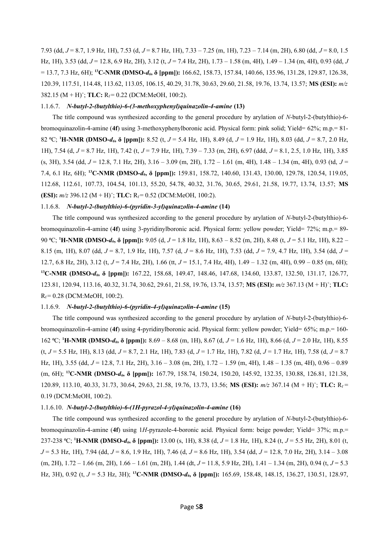7.93 (dd, *J* = 8.7, 1.9 Hz, 1H), 7.53 (d, *J* = 8.7 Hz, 1H), 7.33 – 7.25 (m, 1H), 7.23 – 7.14 (m, 2H), 6.80 (dd, *J* = 8.0, 1.5 Hz, 1H), 3.53 (dd, *J* = 12.8, 6.9 Hz, 2H), 3.12 (t, *J* = 7.4 Hz, 2H), 1.73 – 1.58 (m, 4H), 1.49 – 1.34 (m, 4H), 0.93 (dd, *J* = 13.7, 7.3 Hz, 6H); **<sup>13</sup>C-NMR (DMSO-***d6***, δ [ppm]):** 166.62, 158.73, 157.84, 140.66, 135.96, 131.28, 129.87, 126.38, 120.39, 117.51, 114.48, 113.62, 113.05, 106.15, 40.29, 31.78, 30.63, 29.60, 21.58, 19.76, 13.74, 13.57; **MS (ESI):** *m/z* 382.15 ( $M + H$ )<sup>+</sup>; **TLC:**  $R_f = 0.22$  (DCM:MeOH, 100:2).

#### 1.1.6.7. *N-butyl-2-(butylthio)-6-(3-methoxyphenyl)quinazolin-4-amine* **(13)**

The title compound was synthesized according to the general procedure by arylation of *N*-butyl-2-(butylthio)-6 bromoquinazolin-4-amine (**4f**) using 3-methoxyphenylboronic acid. Physical form: pink solid; Yield= 62%; m.p.= 81- 82 ⁰C; **<sup>1</sup>H-NMR (DMSO-***d6***, δ [ppm]):** 8.52 (t, *J* = 5.4 Hz, 1H), 8.49 (d, *J* = 1.9 Hz, 1H), 8.03 (dd, *J* = 8.7, 2.0 Hz, 1H), 7.54 (d, *J* = 8.7 Hz, 1H), 7.42 (t, *J* = 7.9 Hz, 1H), 7.39 – 7.33 (m, 2H), 6.97 (ddd, *J* = 8.1, 2.5, 1.0 Hz, 1H), 3.85 (s, 3H), 3.54 (dd, *J* = 12.8, 7.1 Hz, 2H), 3.16 – 3.09 (m, 2H), 1.72 – 1.61 (m, 4H), 1.48 – 1.34 (m, 4H), 0.93 (td, *J* = 7.4, 6.1 Hz, 6H); **<sup>13</sup>C-NMR (DMSO-***d6***, δ [ppm]):** 159.81, 158.72, 140.60, 131.43, 130.00, 129.78, 120.54, 119.05, 112.68, 112.61, 107.73, 104.54, 101.13, 55.20, 54.78, 40.32, 31.76, 30.65, 29.61, 21.58, 19.77, 13.74, 13.57; **MS (ESI):**  $m/z$  396.12  $(M + H)^+$ ; **TLC:**  $R_f = 0.52$  (DCM:MeOH, 100:2).

#### 1.1.6.8. *N-butyl-2-(butylthio)-6-(pyridin-3-yl)quinazolin-4-amine* **(14)**

The title compound was synthesized according to the general procedure by arylation of *N*-butyl-2-(butylthio)-6 bromoquinazolin-4-amine (**4f**) using 3-pyridinylboronic acid. Physical form: yellow powder; Yield= 72%; m.p.= 89- 90 ⁰C; **<sup>1</sup>H-NMR (DMSO-***d6***, δ [ppm]):** 9.05 (d, *J* = 1.8 Hz, 1H), 8.63 – 8.52 (m, 2H), 8.48 (t, *J* = 5.1 Hz, 1H), 8.22 – 8.15 (m, 1H), 8.07 (dd, *J* = 8.7, 1.9 Hz, 1H), 7.57 (d, *J* = 8.6 Hz, 1H), 7.53 (dd, *J* = 7.9, 4.7 Hz, 1H), 3.54 (dd, *J* = 12.7, 6.8 Hz, 2H), 3.12 (t, *J* = 7.4 Hz, 2H), 1.66 (tt, *J* = 15.1, 7.4 Hz, 4H), 1.49 – 1.32 (m, 4H), 0.99 – 0.85 (m, 6H); **<sup>13</sup>C-NMR (DMSO-***d6***, δ [ppm]):** 167.22, 158.68, 149.47, 148.46, 147.68, 134.60, 133.87, 132.50, 131.17, 126.77, 123.81, 120.94, 113.16, 40.32, 31.74, 30.62, 29.61, 21.58, 19.76, 13.74, 13.57; **MS (ESI):** *m/z* 367.13 (M + H)<sup>+</sup> ; **TLC:**  $R_f = 0.28$  (DCM:MeOH, 100:2).

#### 1.1.6.9. *N-butyl-2-(butylthio)-6-(pyridin-4-yl)quinazolin-4-amine* **(15)**

The title compound was synthesized according to the general procedure by arylation of *N*-butyl-2-(butylthio)-6 bromoquinazolin-4-amine (**4f**) using 4-pyridinylboronic acid. Physical form: yellow powder; Yield= 65%; m.p.= 160- 162 ⁰C; **<sup>1</sup>H-NMR (DMSO-***d6***, δ [ppm]):** 8.69 – 8.68 (m, 1H), 8.67 (d, *J* = 1.6 Hz, 1H), 8.66 (d, *J* = 2.0 Hz, 1H), 8.55 (t, *J* = 5.5 Hz, 1H), 8.13 (dd, *J* = 8.7, 2.1 Hz, 1H), 7.83 (d, *J* = 1.7 Hz, 1H), 7.82 (d, *J* = 1.7 Hz, 1H), 7.58 (d, *J* = 8.7 Hz, 1H), 3.55 (dd, *J* = 12.8, 7.1 Hz, 2H), 3.16 – 3.08 (m, 2H), 1.72 – 1.59 (m, 4H), 1.48 – 1.35 (m, 4H), 0.96 – 0.89 (m, 6H); **<sup>13</sup>C-NMR (DMSO-***d6***, δ [ppm]):** 167.79, 158.74, 150.24, 150.20, 145.92, 132.35, 130.88, 126.81, 121.38, 120.89, 113.10, 40.33, 31.73, 30.64, 29.63, 21.58, 19.76, 13.73, 13.56; **MS (ESI):**  $m/z$  367.14 (M + H)<sup>+</sup>; TLC: R<sub>f</sub> = 0.19 (DCM:MeOH, 100:2).

#### 1.1.6.10. *N-butyl-2-(butylthio)-6-(1H-pyrazol-4-yl)quinazolin-4-amine* **(16)**

The title compound was synthesized according to the general procedure by arylation of *N*-butyl-2-(butylthio)-6 bromoquinazolin-4-amine (**4f**) using 1*H*-pyrazole-4-boronic acid. Physical form: beige powder; Yield= 37%; m.p.= 237-238 ⁰C; **<sup>1</sup>H-NMR (DMSO-***d6***, δ [ppm]):** 13.00 (s, 1H), 8.38 (d, *J* = 1.8 Hz, 1H), 8.24 (t, *J* = 5.5 Hz, 2H), 8.01 (t, *J* = 5.3 Hz, 1H), 7.94 (dd, *J* = 8.6, 1.9 Hz, 1H), 7.46 (d, *J* = 8.6 Hz, 1H), 3.54 (dd, *J* = 12.8, 7.0 Hz, 2H), 3.14 – 3.08 (m, 2H), 1.72 – 1.66 (m, 2H), 1.66 – 1.61 (m, 2H), 1.44 (dt, *J* = 11.8, 5.9 Hz, 2H), 1.41 – 1.34 (m, 2H), 0.94 (t, *J* = 5.3 Hz, 3H), 0.92 (t, *J* = 5.3 Hz, 3H); **<sup>13</sup>C-NMR (DMSO-***d6***, δ [ppm]):** 165.69, 158.48, 148.15, 136.27, 130.51, 128.97,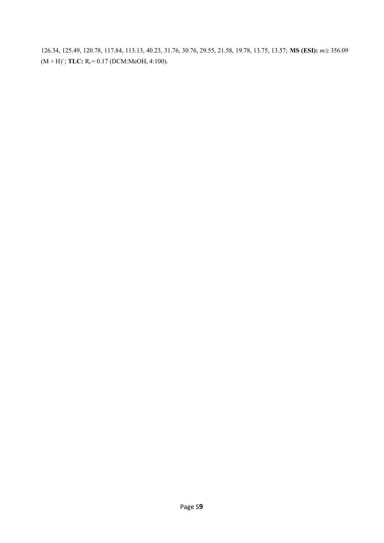126.34, 125.49, 120.78, 117.84, 113.13, 40.23, 31.76, 30.76, 29.55, 21.58, 19.78, 13.75, 13.57; **MS (ESI):** *m/z* 356.09  $(M + H)^{+}$ ; **TLC:**  $R_f = 0.17$  (DCM:MeOH, 4:100).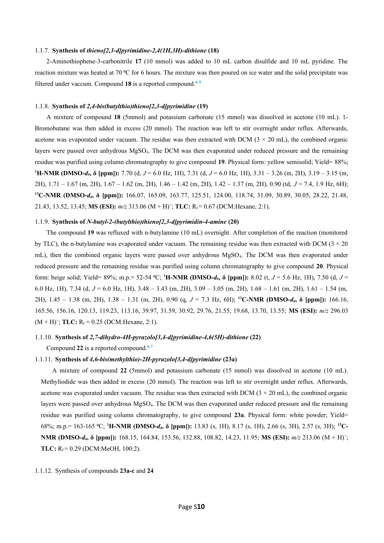#### 1.1.7. **Synthesis of** *thieno[2,3-d]pyrimidine-2,4(1H,3H)-dithione* **(18)**

2-Aminothiophene-3-carbonitrile **17** (10 mmol) was added to 10 mL carbon disulfide and 10 mL pyridine. The reaction mixture was heated at 70 °C for 6 hours. The mixture was then poured on ice water and the solid precipitate was filtered under vaccum. Compound **18** is a reported compound.**4, 5**

#### 1.1.8. **Synthesis of** *2,4-bis(butylthio)thieno[2,3-d]pyrimidine* **(19)**

A mixture of compound **18** (5mmol) and potassium carbonate (15 mmol) was dissolved in acetone (10 mL). 1- Bromobutane was then added in excess (20 mmol). The reaction was left to stir overnight under reflux. Afterwards, acetone was evaporated under vacuum. The residue was then extracted with DCM  $(3 \times 20 \text{ mL})$ , the combined organic layers were passed over anhydrous MgSO4. The DCM was then evaporated under reduced pressure and the remaining residue was purified using column chromatography to give compound **19**. Physical form: yellow semisolid; Yield= 88%; **<sup>1</sup>H-NMR (DMSO-***d6***, δ [ppm]):** 7.70 (d, *J* = 6.0 Hz, 1H), 7.31 (d, *J* = 6.0 Hz, 1H), 3.31 – 3.26 (m, 2H), 3.19 – 3.15 (m, 2H), 1.71 – 1.67 (m, 2H), 1.67 – 1.62 (m, 2H), 1.46 – 1.42 (m, 2H), 1.42 – 1.37 (m, 2H), 0.90 (td, *J* = 7.4, 1.9 Hz, 6H); **<sup>13</sup>C-NMR (DMSO-***d6***, δ [ppm]):** 166.07, 165.09, 163.77, 125.51, 124.00, 118.74, 31.09, 30.89, 30.05, 28.22, 21.48, 21.43, 13.52, 13.45; **MS (ESI):**  $m/z$  313.06 (M + H)<sup>+</sup>; **TLC:**  $R_f = 0.67$  (DCM: Hexane, 2:1).

#### 1.1.9. **Synthesis of** *N-butyl-2-(butylthio)thieno[2,3-d]pyrimidin-4-amine* **(20)**

The compound **19** was refluxed with n-butylamine (10 mL) overnight. After completion of the reaction (monitored by TLC), the n-butylamine was evaporated under vacuum. The remaining residue was then extracted with DCM  $(3 \times 20)$ mL), then the combined organic layers were passed over anhydrous MgSO4. The DCM was then evaporated under reduced pressure and the remaining residue was purified using column chromatography to give compound **20**. Physical form: beige solid; Yield= 89%; m.p.= 52-54 ⁰C; **<sup>1</sup>H-NMR (DMSO-***d6***, δ [ppm]):** 8.02 (t, *J* = 5.6 Hz, 1H), 7.50 (d, *J* = 6.0 Hz, 1H), 7.34 (d, *J* = 6.0 Hz, 1H), 3.48 – 3.43 (m, 2H), 3.09 – 3.05 (m, 2H), 1.68 – 1.61 (m, 2H), 1.61 – 1.54 (m, 2H), 1.45 – 1.38 (m, 2H), 1.38 – 1.31 (m, 2H), 0.90 (q, *J* = 7.3 Hz, 6H); **<sup>13</sup>C-NMR (DMSO-***d6***, δ [ppm]):** 166.16, 165.56, 156.16, 120.13, 119.23, 113.16, 39.97, 31.59, 30.92, 29.76, 21.55, 19.68, 13.70, 13.55; **MS (ESI):** *m/z* 296.03  $(M + H)^+$ ; TLC:  $R_f = 0.25$  (DCM: Hexane, 2:1).

#### 1.1.10. **Synthesis of** *2,7-dihydro-4H-pyrazolo[3,4-d]pyrimidine-4,6(5H)-dithione* **(22)**

Compound **22** is a reported compound.**6, 7**

#### 1.1.11. **Synthesis of** *4,6-bis(methylthio)-2H-pyrazolo[3,4-d]pyrimidine* **(23a)**

A mixture of compound **22** (5mmol) and potassium carbonate (15 mmol) was dissolved in acetone (10 mL). Methyliodide was then added in excess (20 mmol). The reaction was left to stir overnight under reflux. Afterwards, acetone was evaporated under vacuum. The residue was then extracted with DCM  $(3 \times 20 \text{ mL})$ , the combined organic layers were passed over anhydrous MgSO4. The DCM was then evaporated under reduced pressure and the remaining residue was purified using column chromatography, to give compound **23a**. Physical form: white powder; Yield= 68%; m.p.= 163-165 ⁰C; **<sup>1</sup>H-NMR (DMSO-***d6***, δ [ppm]):** 13.83 (s, 1H), 8.17 (s, 1H), 2.66 (s, 3H), 2.57 (s, 3H); **<sup>13</sup>C-NMR (DMSO-***d***<sub>6</sub>, δ [ppm]):** 168.15, 164.84, 153.56, 132.88, 108.82, 14.23, 11.95; **MS (ESI):** *m/z* 213.06 (M + H)<sup>+</sup>; **TLC:**  $R_f = 0.29$  (DCM:MeOH, 100:2).

#### 1.1.12. Synthesis of compounds **23a-c** and **24**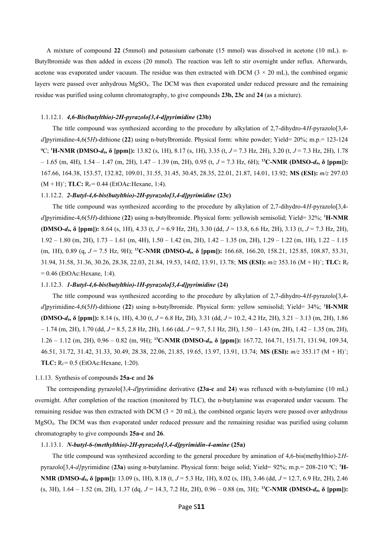A mixture of compound **22** (5mmol) and potassium carbonate (15 mmol) was dissolved in acetone (10 mL). n-Butylbromide was then added in excess (20 mmol). The reaction was left to stir overnight under reflux. Afterwards, acetone was evaporated under vacuum. The residue was then extracted with DCM  $(3 \times 20 \text{ mL})$ , the combined organic layers were passed over anhydrous MgSO4. The DCM was then evaporated under reduced pressure and the remaining residue was purified using column chromatography, to give compounds **23b, 23c** and **24** (as a mixture).

#### 1.1.12.1. *4,6-Bis(butylthio)-2H-pyrazolo[3,4-d]pyrimidine* **(23b)**

The title compound was synthesized according to the procedure by alkylation of 2,7-dihydro-4*H*-pyrazolo[3,4 *d*]pyrimidine-4,6(5*H*)-dithione (**22**) using n-butylbromide. Physical form: white powder; Yield= 20%; m.p.= 123-124 ⁰C; **<sup>1</sup>H-NMR (DMSO-***d6***, δ [ppm]):** 13.82 (s, 1H), 8.17 (s, 1H), 3.35 (t, *J* = 7.3 Hz, 2H), 3.20 (t, *J* = 7.3 Hz, 2H), 1.78 – 1.65 (m, 4H), 1.54 – 1.47 (m, 2H), 1.47 – 1.39 (m, 2H), 0.95 (t, *J* = 7.3 Hz, 6H); **<sup>13</sup>C-NMR (DMSO-***d6***, δ [ppm]):** 167.66, 164.38, 153.57, 132.82, 109.01, 31.55, 31.45, 30.45, 28.35, 22.01, 21.87, 14.01, 13.92; **MS (ESI):** *m/z* 297.03  $(M + H)^+$ ; TLC:  $R_f = 0.44$  (EtOAc: Hexane, 1:4).

#### 1.1.12.2. *2-Butyl-4,6-bis(butylthio)-2H-pyrazolo[3,4-d]pyrimidine* **(23c)**

The title compound was synthesized according to the procedure by alkylation of 2,7-dihydro-4*H*-pyrazolo[3,4 *d*]pyrimidine-4,6(5*H*)-dithione (**22**) using n-butylbromide. Physical form: yellowish semisolid; Yield= 32%; **<sup>1</sup>H-NMR (DMSO-***d6***, δ [ppm]):** 8.64 (s, 1H), 4.33 (t, *J* = 6.9 Hz, 2H), 3.30 (dd, *J* = 13.8, 6.6 Hz, 2H), 3.13 (t, *J* = 7.3 Hz, 2H), 1.92 – 1.80 (m, 2H), 1.73 – 1.61 (m, 4H), 1.50 – 1.42 (m, 2H), 1.42 – 1.35 (m, 2H), 1.29 – 1.22 (m, 1H), 1.22 – 1.15 (m, 1H), 0.89 (q, *J* = 7.5 Hz, 9H); **<sup>13</sup>C-NMR (DMSO-***d6***, δ [ppm]):** 166.68, 166.20, 158.21, 125.85, 108.87, 53.31, 31.94, 31.58, 31.36, 30.26, 28.38, 22.03, 21.84, 19.53, 14.02, 13.91, 13.78; **MS (ESI):** *m/z* 353.16 (M + H)<sup>+</sup> ; **TLC:** R<sup>f</sup>  $= 0.46$  (EtOAc:Hexane, 1:4).

#### 1.1.12.3. *1-Butyl-4,6-bis(butylthio)-1H-pyrazolo[3,4-d]pyrimidine* **(24)**

The title compound was synthesized according to the procedure by alkylation of 2,7-dihydro-4*H*-pyrazolo[3,4 *d*]pyrimidine-4,6(5*H*)-dithione (**22**) using n-butylbromide. Physical form: yellow semisolid; Yield= 34%; **<sup>1</sup>H-NMR (DMSO-***d6***, δ [ppm]):** 8.14 (s, 1H), 4.30 (t, *J* = 6.8 Hz, 2H), 3.31 (dd, *J* = 10.2, 4.2 Hz, 2H), 3.21 – 3.13 (m, 2H), 1.86 – 1.74 (m, 2H), 1.70 (dd, *J* = 8.5, 2.8 Hz, 2H), 1.66 (dd, *J* = 9.7, 5.1 Hz, 2H), 1.50 – 1.43 (m, 2H), 1.42 – 1.35 (m, 2H), 1.26 – 1.12 (m, 2H), 0.96 – 0.82 (m, 9H); **<sup>13</sup>C-NMR (DMSO-***d6***, δ [ppm]):** 167.72, 164.71, 151.71, 131.94, 109.34, 46.51, 31.72, 31.42, 31.33, 30.49, 28.38, 22.06, 21.85, 19.65, 13.97, 13.91, 13.74; **MS (ESI):** *m/z* 353.17 (M + H)<sup>+</sup> ; **TLC:**  $R_f = 0.5$  (EtOAc:Hexane, 1:20).

#### 1.1.13. Synthesis of compounds **25a-c** and **26**

The corresponding pyrazolo[3,4-*d*]pyrimidine derivative **(23a-c** and **24**) was refluxed with n-butylamine (10 mL) overnight. After completion of the reaction (monitored by TLC), the n-butylamine was evaporated under vacuum. The remaining residue was then extracted with DCM  $(3 \times 20 \text{ mL})$ , the combined organic layers were passed over anhydrous MgSO4. The DCM was then evaporated under reduced pressure and the remaining residue was purified using column chromatography to give compounds **25a-c** and **26**.

#### 1.1.13.1. *N-butyl-6-(methylthio)-2H-pyrazolo[3,4-d]pyrimidin-4-amine* **(25a)**

The title compound was synthesized according to the general procedure by amination of 4,6-bis(methylthio)-2*H*pyrazolo[3,4-*d]*pyrimidine (**23a**) using n-butylamine. Physical form: beige solid; Yield= 92%; m.p.= 208-210 ⁰C; **1H-NMR (DMSO-***d6***, δ [ppm]):** 13.09 (s, 1H), 8.18 (t, *J* = 5.3 Hz, 1H), 8.02 (s, 1H), 3.46 (dd, *J* = 12.7, 6.9 Hz, 2H), 2.46 (s, 3H), 1.64 – 1.52 (m, 2H), 1.37 (dq, *J* = 14.3, 7.2 Hz, 2H), 0.96 – 0.88 (m, 3H); **<sup>13</sup>C-NMR (DMSO-***d6***, δ [ppm]):**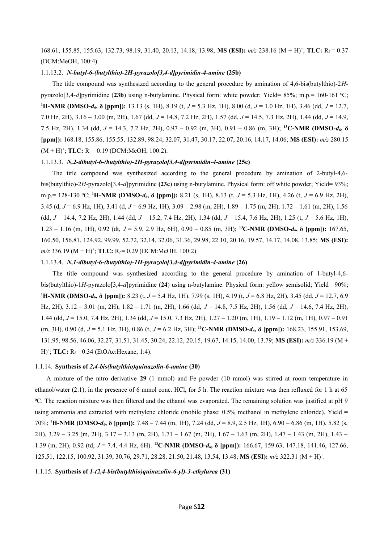168.61, 155.85, 155.63, 132.73, 98.19, 31.40, 20.13, 14.18, 13.98; **MS (ESI):**  $m/z$  238.16 (M + H)<sup>+</sup>; TLC: R<sub>f</sub> = 0.37 (DCM:MeOH, 100:4).

#### 1.1.13.2. *N-butyl-6-(butylthio)-2H-pyrazolo[3,4-d]pyrimidin-4-amine* **(25b)**

The title compound was synthesized according to the general procedure by amination of 4,6-bis(butylthio)-2*H*pyrazolo[3,4-*d*]pyrimidine (**23b**) using n-butylamine. Physical form: white powder; Yield= 85%; m.p.= 160-161 ⁰C; **<sup>1</sup>H-NMR (DMSO-***d6***, δ [ppm]):** 13.13 (s, 1H), 8.19 (t, *J* = 5.3 Hz, 1H), 8.00 (d, *J* = 1.0 Hz, 1H), 3.46 (dd, *J* = 12.7, 7.0 Hz, 2H), 3.16 – 3.00 (m, 2H), 1.67 (dd, *J* = 14.8, 7.2 Hz, 2H), 1.57 (dd, *J* = 14.5, 7.3 Hz, 2H), 1.44 (dd, *J* = 14.9, 7.5 Hz, 2H), 1.34 (dd, *J* = 14.3, 7.2 Hz, 2H), 0.97 – 0.92 (m, 3H), 0.91 – 0.86 (m, 3H); **<sup>13</sup>C-NMR (DMSO-***d6***, δ [ppm]):** 168.18, 155.86, 155.55, 132.89, 98.24, 32.07, 31.47, 30.17, 22.07, 20.16, 14.17, 14.06; **MS (ESI):** *m/z* 280.15  $(M + H)^{+}$ ; **TLC:**  $R_f = 0.19$  (DCM:MeOH, 100:2).

#### 1.1.13.3. *N,2-dibutyl-6-(butylthio)-2H-pyrazolo[3,4-d]pyrimidin-4-amine* **(25c)**

The title compound was synthesized according to the general procedure by amination of 2-butyl-4,6 bis(butylthio)-2*H*-pyrazolo[3,4-*d*]pyrimidine **(23c**) using n-butylamine. Physical form: off white powder; Yield= 93%; m.p.= 128-130 ⁰C; **<sup>1</sup>H-NMR (DMSO-***d6***, δ [ppm]):** 8.21 (s, 1H), 8.13 (t, *J* = 5.3 Hz, 1H), 4.26 (t, *J* = 6.9 Hz, 2H), 3.45 (d, *J* = 6.9 Hz, 1H), 3.41 (d, *J* = 6.9 Hz, 1H), 3.09 – 2.98 (m, 2H), 1.89 – 1.75 (m, 2H), 1.72 – 1.61 (m, 2H), 1.56 (dd, *J* = 14.4, 7.2 Hz, 2H), 1.44 (dd, *J* = 15.2, 7.4 Hz, 2H), 1.34 (dd, *J* = 15.4, 7.6 Hz, 2H), 1.25 (t, *J* = 5.6 Hz, 1H), 1.23 – 1.16 (m, 1H), 0.92 (dt, *J* = 5.9, 2.9 Hz, 6H), 0.90 – 0.85 (m, 3H); **<sup>13</sup>C-NMR (DMSO-***d6***, δ [ppm]):** 167.65, 160.50, 156.81, 124.92, 99.99, 52.72, 32.14, 32.06, 31.36, 29.98, 22.10, 20.16, 19.57, 14.17, 14.08, 13.85; **MS (ESI):** *m/z* 336.19 (M + H)<sup>+</sup>; **TLC:** R<sub>f</sub> = 0.29 (DCM:MeOH, 100:2).

#### 1.1.13.4. *N,1-dibutyl-6-(butylthio)-1H-pyrazolo[3,4-d]pyrimidin-4-amine* **(26)**

The title compound was synthesized according to the general procedure by amination of 1-butyl-4,6 bis(butylthio)-1*H*-pyrazolo[3,4-*d*]pyrimidine (**24**) using n-butylamine. Physical form: yellow semisolid; Yield= 90%; **<sup>1</sup>H-NMR (DMSO-***d6***, δ [ppm]):** 8.23 (t, *J* = 5.4 Hz, 1H), 7.99 (s, 1H), 4.19 (t, *J* = 6.8 Hz, 2H), 3.45 (dd, *J* = 12.7, 6.9 Hz, 2H), 3.12 – 3.01 (m, 2H), 1.82 – 1.71 (m, 2H), 1.66 (dd, *J* = 14.8, 7.5 Hz, 2H), 1.56 (dd, *J* = 14.6, 7.4 Hz, 2H), 1.44 (dd, *J* = 15.0, 7.4 Hz, 2H), 1.34 (dd, *J* = 15.0, 7.3 Hz, 2H), 1.27 – 1.20 (m, 1H), 1.19 – 1.12 (m, 1H), 0.97 – 0.91 (m, 3H), 0.90 (d, *J* = 5.1 Hz, 3H), 0.86 (t, *J* = 6.2 Hz, 3H); **<sup>13</sup>C-NMR (DMSO-***d6***, δ [ppm]):** 168.23, 155.91, 153.69, 131.95, 98.56, 46.06, 32.27, 31.51, 31.45, 30.24, 22.12, 20.15, 19.67, 14.15, 14.00, 13.79; **MS (ESI):** *m/z* 336.19 (M +  $H$ <sup>+</sup>; **TLC:**  $R_f$  = 0.34 (EtOAc:Hexane, 1:4).

#### 1.1.14. **Synthesis of** *2,4-bis(butylthio)quinazolin-6-amine* **(30)**

A mixture of the nitro derivative **29** (1 mmol) and Fe powder (10 mmol) was stirred at room temperature in ethanol/water (2:1), in the presence of 6 mmol conc. HCl, for 5 h. The reaction mixture was then refluxed for 1 h at 65 ⁰C. The reaction mixture was then filtered and the ethanol was evaporated. The remaining solution was justified at pH 9 using ammonia and extracted with methylene chloride (mobile phase: 0.5% methanol in methylene chloride). Yield = 70%; **<sup>1</sup>H-NMR (DMSO-***d6***, δ [ppm]):** 7.48 – 7.44 (m, 1H), 7.24 (dd, *J* = 8.9, 2.5 Hz, 1H), 6.90 – 6.86 (m, 1H), 5.82 (s, 2H), 3.29 – 3.25 (m, 2H), 3.17 – 3.13 (m, 2H), 1.71 – 1.67 (m, 2H), 1.67 – 1.63 (m, 2H), 1.47 – 1.43 (m, 2H), 1.43 – 1.39 (m, 2H), 0.92 (td, *J* = 7.4, 4.4 Hz, 6H). **<sup>13</sup>C-NMR (DMSO-***d6***, δ [ppm]):** 166.67, 159.63, 147.18, 141.46, 127.66, 125.51, 122.15, 100.92, 31.39, 30.76, 29.71, 28.28, 21.50, 21.48, 13.54, 13.48; **MS (ESI):**  $m/z$  322.31 (M + H)<sup>+</sup>.

#### 1.1.15. **Synthesis of** *1-(2,4-bis(butylthio)quinazolin-6-yl)-3-ethylurea* **(31)**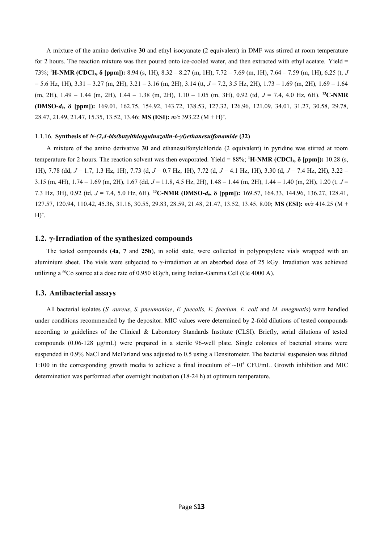A mixture of the amino derivative **30** and ethyl isocyanate (2 equivalent) in DMF was stirred at room temperature for 2 hours. The reaction mixture was then poured onto ice-cooled water, and then extracted with ethyl acetate. Yield  $=$ 73%; **<sup>1</sup>H-NMR (CDCl3, δ [ppm]):** 8.94 (s, 1H), 8.32 – 8.27 (m, 1H), 7.72 – 7.69 (m, 1H), 7.64 – 7.59 (m, 1H), 6.25 (t, *J* = 5.6 Hz, 1H), 3.31 – 3.27 (m, 2H), 3.21 – 3.16 (m, 2H), 3.14 (tt, *J* = 7.2, 3.5 Hz, 2H), 1.73 – 1.69 (m, 2H), 1.69 – 1.64 (m, 2H), 1.49 – 1.44 (m, 2H), 1.44 – 1.38 (m, 2H), 1.10 – 1.05 (m, 3H), 0.92 (td, *J* = 7.4, 4.0 Hz, 6H). **<sup>13</sup>C-NMR (DMSO-***d6***, δ [ppm]):** 169.01, 162.75, 154.92, 143.72, 138.53, 127.32, 126.96, 121.09, 34.01, 31.27, 30.58, 29.78, 28.47, 21.49, 21.47, 15.35, 13.52, 13.46; **MS (ESI):** *m/z* 393.22 (M + H)<sup>+</sup> .

#### 1.1.16. **Synthesis of** *N-(2,4-bis(butylthio)quinazolin-6-yl)ethanesulfonamide* **(32)**

A mixture of the amino derivative **30** and ethanesulfonylchloride (2 equivalent) in pyridine was stirred at room temperature for 2 hours. The reaction solvent was then evaporated. Yield =  $88\%$ ;  $^1$ **H-NMR (CDCl<sub>3</sub>,**  $\delta$  **[ppm]):** 10.28 (s, 1H), 7.78 (dd, *J* = 1.7, 1.3 Hz, 1H), 7.73 (d, *J* = 0.7 Hz, 1H), 7.72 (d, *J* = 4.1 Hz, 1H), 3.30 (d, *J* = 7.4 Hz, 2H), 3.22 – 3.15 (m, 4H), 1.74 – 1.69 (m, 2H), 1.67 (dd, *J* = 11.8, 4.5 Hz, 2H), 1.48 – 1.44 (m, 2H), 1.44 – 1.40 (m, 2H), 1.20 (t, *J* = 7.3 Hz, 3H), 0.92 (td, *J* = 7.4, 5.0 Hz, 6H). **<sup>13</sup>C-NMR (DMSO-***d6***, δ [ppm]):** 169.57, 164.33, 144.96, 136.27, 128.41, 127.57, 120.94, 110.42, 45.36, 31.16, 30.55, 29.83, 28.59, 21.48, 21.47, 13.52, 13.45, 8.00; **MS (ESI):** *m/z* 414.25 (M +  $H)^+$ .

#### **1.2. γ-Irradiation of the synthesized compounds**

The tested compounds (**4a**, **7** and **25b**), in solid state, were collected in polypropylene vials wrapped with an aluminium sheet. The vials were subjected to γ-irradiation at an absorbed dose of 25 kGy. Irradiation was achieved utilizing a <sup>60</sup>Co source at a dose rate of 0.950 kGy/h, using Indian-Gamma Cell (Ge 4000 A).

#### **1.3. Antibacterial assays**

All bacterial isolates (*S. aureus*, *S. pneumoniae*, *E. faecalis, E. faecium, E. coli* and *M. smegmatis*) were handled under conditions recommended by the depositor. MIC values were determined by 2-fold dilutions of tested compounds according to guidelines of the Clinical & Laboratory Standards Institute (CLSI). Briefly, serial dilutions of tested compounds (0.06-128 µg/mL) were prepared in a sterile 96-well plate. Single colonies of bacterial strains were suspended in 0.9% NaCl and McFarland was adjusted to 0.5 using a Densitometer. The bacterial suspension was diluted 1:100 in the corresponding growth media to achieve a final inoculum of  $\sim 10^4$  CFU/mL. Growth inhibition and MIC determination was performed after overnight incubation (18-24 h) at optimum temperature.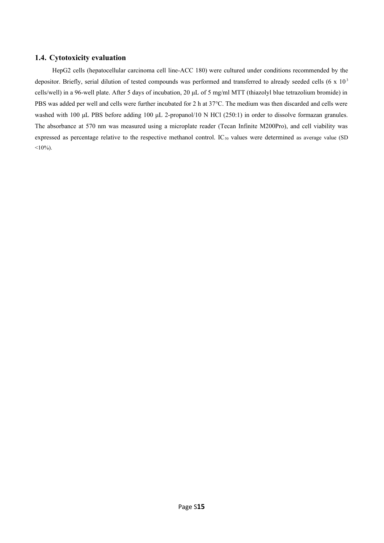#### **1.4. Cytotoxicity evaluation**

HepG2 cells (hepatocellular carcinoma cell line-ACC 180) were cultured under conditions recommended by the depositor. Briefly, serial dilution of tested compounds was performed and transferred to already seeded cells  $(6 \times 10^{3}$ cells/well) in a 96-well plate. After 5 days of incubation, 20 μL of 5 mg/ml MTT (thiazolyl blue tetrazolium bromide) in PBS was added per well and cells were further incubated for 2 h at 37°C. The medium was then discarded and cells were washed with 100 μL PBS before adding 100 μL 2-propanol/10 N HCl (250:1) in order to dissolve formazan granules. The absorbance at 570 nm was measured using a microplate reader (Tecan Infinite M200Pro), and cell viability was expressed as percentage relative to the respective methanol control. IC<sub>50</sub> values were determined as average value (SD  $<10\%$ ).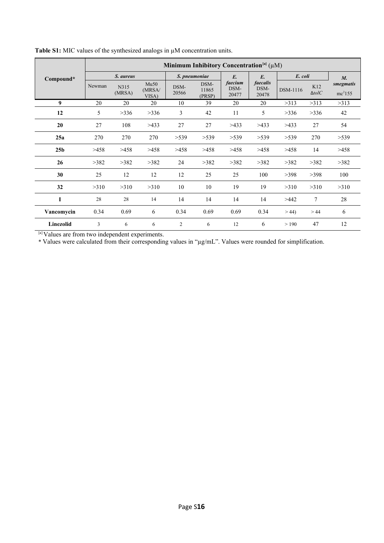|                 | Minimum Inhibitory Concentration <sup>[a]</sup> $(\mu M)$ |                |                         |               |                         |                          |                           |          |                      |                                  |
|-----------------|-----------------------------------------------------------|----------------|-------------------------|---------------|-------------------------|--------------------------|---------------------------|----------|----------------------|----------------------------------|
| Compound*       | S. aureus                                                 |                |                         | S. pneumoniae |                         | $E$ .                    | $E$ .                     | E. coli  |                      | $M_{\cdot}$                      |
|                 | Newman                                                    | N315<br>(MRSA) | Mu50<br>(MRSA)<br>VISA) | DSM-<br>20566 | DSM-<br>11865<br>(PRSP) | faecium<br>DSM-<br>20477 | faecalis<br>DSM-<br>20478 | DSM-1116 | K12<br>$\Delta tolC$ | smegmatis<br>mc <sup>2</sup> 155 |
| 9               | 20                                                        | 20             | 20                      | 10            | 39                      | 20                       | 20                        | >313     | >313                 | >313                             |
| 12              | 5                                                         | >336           | >336                    | 3             | 42                      | 11                       | 5                         | >336     | >336                 | 42                               |
| 20              | 27                                                        | 108            | >433                    | 27            | 27                      | >433                     | >433                      | >433     | 27                   | 54                               |
| 25a             | 270                                                       | 270            | 270                     | >539          | >539                    | >539                     | >539                      | >539     | 270                  | >539                             |
| 25 <sub>b</sub> | >458                                                      | >458           | >458                    | >458          | >458                    | >458                     | >458                      | >458     | 14                   | >458                             |
| 26              | >382                                                      | >382           | >382                    | 24            | >382                    | >382                     | >382                      | >382     | >382                 | >382                             |
| 30              | 25                                                        | 12             | 12                      | 12            | 25                      | 25                       | 100                       | >398     | >398                 | 100                              |
| 32              | >310                                                      | >310           | >310                    | 10            | 10                      | 19                       | 19                        | >310     | >310                 | >310                             |
| I               | 28                                                        | 28             | 14                      | 14            | 14                      | 14                       | 14                        | >442     | 7                    | 28                               |
| Vancomycin      | 0.34                                                      | 0.69           | 6                       | 0.34          | 0.69                    | 0.69                     | 0.34                      | >44      | >44                  | 6                                |
| Linezolid       | 3                                                         | 6              | 6                       | 2             | 6                       | 12                       | 6                         | >190     | 47                   | 12                               |

**Table S1:** MIC values of the synthesized analogs in µM concentration units.

[a] Values are from two independent experiments.

\* Values were calculated from their corresponding values in "µg/mL". Values were rounded for simplification.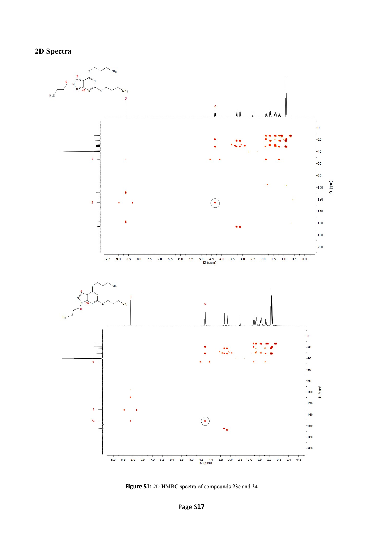

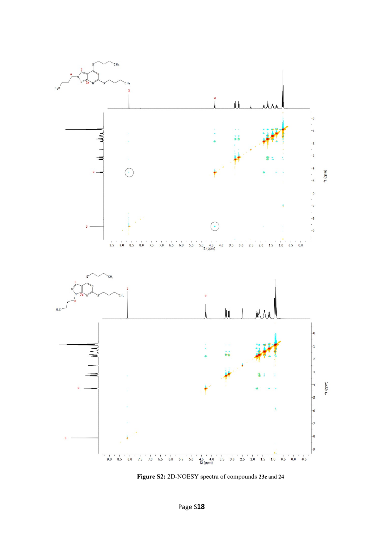